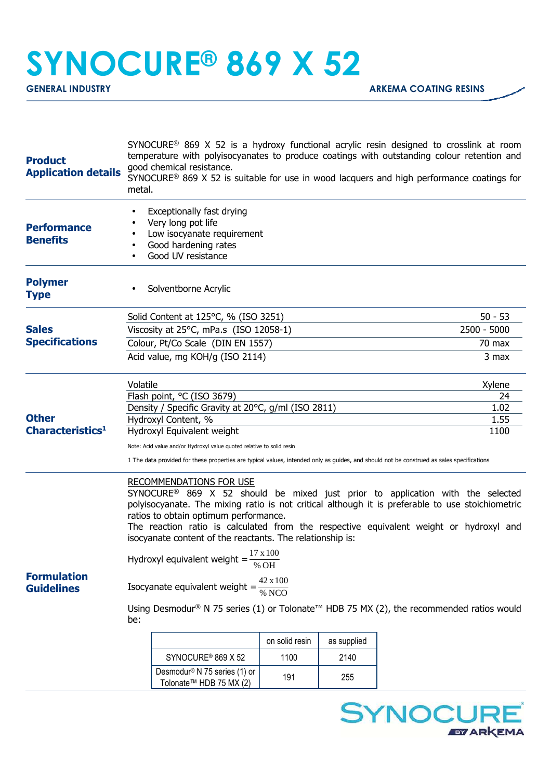## **SYNOCURE® 869 X 52**

| <b>Product</b><br><b>Application details</b> | SYNOCURE <sup>®</sup> 869 X 52 is a hydroxy functional acrylic resin designed to crosslink at room<br>temperature with polyisocyanates to produce coatings with outstanding colour retention and<br>good chemical resistance.<br>SYNOCURE® 869 X 52 is suitable for use in wood lacquers and high performance coatings for<br>metal.                                                                                             |                                                                                                                             |                |              |  |           |  |  |
|----------------------------------------------|----------------------------------------------------------------------------------------------------------------------------------------------------------------------------------------------------------------------------------------------------------------------------------------------------------------------------------------------------------------------------------------------------------------------------------|-----------------------------------------------------------------------------------------------------------------------------|----------------|--------------|--|-----------|--|--|
| <b>Performance</b><br><b>Benefits</b>        | $\bullet$<br>$\bullet$<br>$\bullet$                                                                                                                                                                                                                                                                                                                                                                                              | Exceptionally fast drying<br>Very long pot life<br>Low isocyanate requirement<br>Good hardening rates<br>Good UV resistance |                |              |  |           |  |  |
| <b>Polymer</b><br><b>Type</b>                |                                                                                                                                                                                                                                                                                                                                                                                                                                  | Solventborne Acrylic                                                                                                        |                |              |  |           |  |  |
|                                              |                                                                                                                                                                                                                                                                                                                                                                                                                                  | Solid Content at 125°C, % (ISO 3251)                                                                                        |                |              |  | $50 - 53$ |  |  |
| <b>Sales</b>                                 | Viscosity at 25°C, mPa.s (ISO 12058-1)                                                                                                                                                                                                                                                                                                                                                                                           |                                                                                                                             | 2500 - 5000    |              |  |           |  |  |
| <b>Specifications</b>                        |                                                                                                                                                                                                                                                                                                                                                                                                                                  | Colour, Pt/Co Scale (DIN EN 1557)                                                                                           |                |              |  | $70$ max  |  |  |
|                                              | Acid value, mg KOH/g (ISO 2114)                                                                                                                                                                                                                                                                                                                                                                                                  |                                                                                                                             | 3 max          |              |  |           |  |  |
|                                              | Volatile                                                                                                                                                                                                                                                                                                                                                                                                                         | Flash point, °C (ISO 3679)                                                                                                  |                | Xylene<br>24 |  |           |  |  |
|                                              |                                                                                                                                                                                                                                                                                                                                                                                                                                  | Density / Specific Gravity at 20°C, g/ml (ISO 2811)                                                                         |                | 1.02         |  |           |  |  |
| <b>Other</b>                                 |                                                                                                                                                                                                                                                                                                                                                                                                                                  | Hydroxyl Content, %<br>Hydroxyl Equivalent weight                                                                           |                | 1.55         |  |           |  |  |
| Characteristics <sup>1</sup>                 |                                                                                                                                                                                                                                                                                                                                                                                                                                  |                                                                                                                             | 1100           |              |  |           |  |  |
|                                              | Note: Acid value and/or Hydroxyl value quoted relative to solid resin<br>1 The data provided for these properties are typical values, intended only as guides, and should not be construed as sales specifications                                                                                                                                                                                                               |                                                                                                                             |                |              |  |           |  |  |
|                                              | <b>RECOMMENDATIONS FOR USE</b><br>SYNOCURE <sup>®</sup> 869 X 52 should be mixed just prior to application with the selected<br>polyisocyanate. The mixing ratio is not critical although it is preferable to use stoichiometric<br>ratios to obtain optimum performance.<br>The reaction ratio is calculated from the respective equivalent weight or hydroxyl and<br>isocyanate content of the reactants. The relationship is: |                                                                                                                             |                |              |  |           |  |  |
|                                              | 17 x 100<br>Hydroxyl equivalent weight =<br>% OH                                                                                                                                                                                                                                                                                                                                                                                 |                                                                                                                             |                |              |  |           |  |  |
| <b>Formulation</b><br><b>Guidelines</b>      | 42 x 100<br>Isocyanate equivalent weight =                                                                                                                                                                                                                                                                                                                                                                                       |                                                                                                                             |                |              |  |           |  |  |
|                                              | Using Desmodur® N 75 series (1) or Tolonate <sup>™</sup> HDB 75 MX (2), the recommended ratios would<br>be:                                                                                                                                                                                                                                                                                                                      |                                                                                                                             |                |              |  |           |  |  |
|                                              |                                                                                                                                                                                                                                                                                                                                                                                                                                  |                                                                                                                             | on solid resin | as supplied  |  |           |  |  |
|                                              |                                                                                                                                                                                                                                                                                                                                                                                                                                  | SYNOCURE <sup>®</sup> 869 X 52                                                                                              | 1100           | 2140         |  |           |  |  |
|                                              |                                                                                                                                                                                                                                                                                                                                                                                                                                  | Desmodur <sup>®</sup> N 75 series (1) or<br>Tolonate™ HDB 75 MX (2)                                                         | 191            | 255          |  |           |  |  |